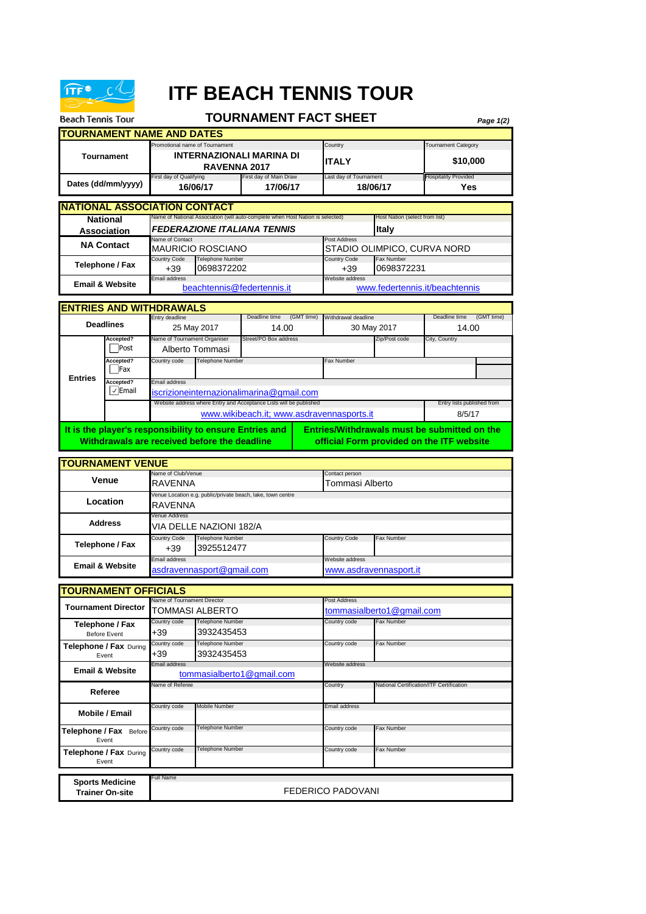

## **ITF BEACH TENNIS TOUR**

| <b>Beach Tennis Tour</b>                                  |                                                                                                                                                             |                                                                                                                             |                                            | <b>TOURNAMENT FACT SHEET</b>                                       |               |                                                         |                      | Page 1(2)                                 |  |  |
|-----------------------------------------------------------|-------------------------------------------------------------------------------------------------------------------------------------------------------------|-----------------------------------------------------------------------------------------------------------------------------|--------------------------------------------|--------------------------------------------------------------------|---------------|---------------------------------------------------------|----------------------|-------------------------------------------|--|--|
|                                                           | <b>TOURNAMENT NAME AND DATES</b>                                                                                                                            |                                                                                                                             |                                            |                                                                    |               |                                                         |                      |                                           |  |  |
| <b>Tournament</b>                                         |                                                                                                                                                             | Promotional name of Tournament<br><b>INTERNAZIONALI MARINA DI</b><br>RAVENNA 2017                                           |                                            |                                                                    |               | Country<br><b>ITALY</b>                                 |                      | <b>Tournament Category</b><br>\$10,000    |  |  |
| Dates (dd/mm/yyyy)                                        |                                                                                                                                                             | First day of Qualifying<br>16/06/17                                                                                         |                                            | First day of Main Draw<br>17/06/17                                 |               | Last day of Tournament<br>18/06/17                      |                      | <b>Hospitality Provided</b><br>Yes        |  |  |
|                                                           | <b>INATIONAL ASSOCIATION CONTACT</b>                                                                                                                        |                                                                                                                             |                                            |                                                                    |               |                                                         |                      |                                           |  |  |
| <b>National</b><br>Association                            |                                                                                                                                                             | Name of National Association (will auto-complete when Host Nation is selected)<br><i><b>FEDERAZIONE ITALIANA TENNIS</b></i> |                                            |                                                                    |               | Host Nation (select from list)<br><b>Italy</b>          |                      |                                           |  |  |
| <b>NA Contact</b>                                         |                                                                                                                                                             | Name of Contact<br>MAURICIO ROSCIANO                                                                                        |                                            |                                                                    |               | Post Address<br>STADIO OLIMPICO, CURVA NORD             |                      |                                           |  |  |
| Telephone / Fax                                           |                                                                                                                                                             | Telephone Number<br>Country Code                                                                                            |                                            |                                                                    |               | <b>Country Code</b>                                     | Fax Number           |                                           |  |  |
|                                                           |                                                                                                                                                             | 0698372202<br>+39<br>Email address                                                                                          |                                            |                                                                    |               | +39<br>Website address                                  | 0698372231           |                                           |  |  |
| <b>Email &amp; Website</b>                                |                                                                                                                                                             | beachtennis@federtennis.it<br>www.federtennis.it/beachtennis                                                                |                                            |                                                                    |               |                                                         |                      |                                           |  |  |
|                                                           | <b>ENTRIES AND WITHDRAWALS</b>                                                                                                                              | Entry deadline                                                                                                              |                                            | Deadline time                                                      |               | Withdrawal deadline                                     |                      | (GMT time)<br>Deadline time               |  |  |
|                                                           | <b>Deadlines</b>                                                                                                                                            |                                                                                                                             | 25 May 2017                                | (GMT time)<br>14.00                                                |               |                                                         | 14.00<br>30 May 2017 |                                           |  |  |
|                                                           | Accepted?<br>Post                                                                                                                                           | Name of Tournament Organiser                                                                                                |                                            | Street/PO Box address                                              |               |                                                         | Zip/Post code        | City, Country                             |  |  |
|                                                           | Accepted?                                                                                                                                                   | Country code                                                                                                                | Alberto Tommasi<br><b>Telephone Number</b> |                                                                    |               | Fax Number                                              |                      |                                           |  |  |
| <b>Entries</b>                                            | Fax<br>Accepted?                                                                                                                                            | Email address                                                                                                               |                                            |                                                                    |               |                                                         |                      |                                           |  |  |
|                                                           | $\sqrt{\mathsf{Email}}$                                                                                                                                     |                                                                                                                             |                                            | iscrizioneinternazionalimarina@gmail.com                           |               |                                                         |                      |                                           |  |  |
|                                                           |                                                                                                                                                             |                                                                                                                             |                                            | Website address where Entry and Acceptance Lists will be published |               |                                                         |                      | Entry lists published from<br>8/5/17      |  |  |
|                                                           | www.wikibeach.it; www.asdravennasports.it<br>It is the player's responsibility to ensure Entries and<br><b>Entries/Withdrawals must be submitted on the</b> |                                                                                                                             |                                            |                                                                    |               |                                                         |                      |                                           |  |  |
|                                                           | Withdrawals are received before the deadline                                                                                                                |                                                                                                                             |                                            |                                                                    |               |                                                         |                      | official Form provided on the ITF website |  |  |
|                                                           | <b>TOURNAMENT VENUE</b>                                                                                                                                     |                                                                                                                             |                                            |                                                                    |               |                                                         |                      |                                           |  |  |
| <b>Venue</b>                                              |                                                                                                                                                             | Name of Club/Venue<br>RAVENNA                                                                                               |                                            |                                                                    |               | Contact person<br>Tommasi Alberto                       |                      |                                           |  |  |
| Location                                                  |                                                                                                                                                             | Venue Location e.g. public/private beach, lake, town centre<br>RAVENNA                                                      |                                            |                                                                    |               |                                                         |                      |                                           |  |  |
| <b>Address</b>                                            |                                                                                                                                                             | Venue Address<br>VIA DELLE NAZIONI 182/A                                                                                    |                                            |                                                                    |               |                                                         |                      |                                           |  |  |
| Telephone / Fax<br><b>Email &amp; Website</b>             |                                                                                                                                                             | Country Code<br>Telephone Number<br>3925512477<br>$+39$                                                                     |                                            |                                                                    | Country Code  | Fax Number                                              |                      |                                           |  |  |
|                                                           |                                                                                                                                                             | Email address<br>asdravennasport@gmail.com                                                                                  |                                            |                                                                    |               | Website address<br><u>www.asdravennasport.it</u>        |                      |                                           |  |  |
|                                                           |                                                                                                                                                             |                                                                                                                             |                                            |                                                                    |               |                                                         |                      |                                           |  |  |
| <b>TOURNAMENT OFFICIALS</b><br><b>Tournament Director</b> |                                                                                                                                                             | Name of Tournament Director                                                                                                 |                                            |                                                                    |               | Post Address                                            |                      |                                           |  |  |
|                                                           |                                                                                                                                                             | TOMMASI ALBERTO<br>Country code                                                                                             |                                            |                                                                    |               | tommasialberto1@gmail.com<br>Country code<br>Fax Number |                      |                                           |  |  |
| Telephone / Fax<br><b>Before Event</b>                    |                                                                                                                                                             | +39                                                                                                                         | <b>Telephone Number</b><br>3932435453      |                                                                    |               |                                                         |                      |                                           |  |  |
| Telephone / Fax During<br>Event                           |                                                                                                                                                             | Country code<br>Telephone Number<br>+39<br>3932435453                                                                       |                                            |                                                                    | Country code  | Fax Number                                              |                      |                                           |  |  |
| <b>Email &amp; Website</b>                                |                                                                                                                                                             | Email address<br>tommasialberto1@gmail.com                                                                                  |                                            |                                                                    |               | Website address                                         |                      |                                           |  |  |
| Referee                                                   |                                                                                                                                                             | Name of Referee                                                                                                             |                                            |                                                                    |               | Country<br>National Certification/ITF Certification     |                      |                                           |  |  |
| Mobile / Email                                            |                                                                                                                                                             | Country code<br>Mobile Number                                                                                               |                                            |                                                                    | Email address |                                                         |                      |                                           |  |  |
| Telephone / Fax Before<br>Event                           |                                                                                                                                                             | Country code                                                                                                                | Telephone Number                           |                                                                    |               | Country code<br>Fax Number                              |                      |                                           |  |  |
| <b>Telephone / Fax During</b><br>Event                    |                                                                                                                                                             | Country code                                                                                                                | Telephone Number                           |                                                                    |               | Country code                                            | Fax Number           |                                           |  |  |
|                                                           |                                                                                                                                                             | Full Name                                                                                                                   |                                            |                                                                    |               |                                                         |                      |                                           |  |  |
| <b>Sports Medicine</b><br><b>Trainer On-site</b>          |                                                                                                                                                             | FEDERICO PADOVANI                                                                                                           |                                            |                                                                    |               |                                                         |                      |                                           |  |  |